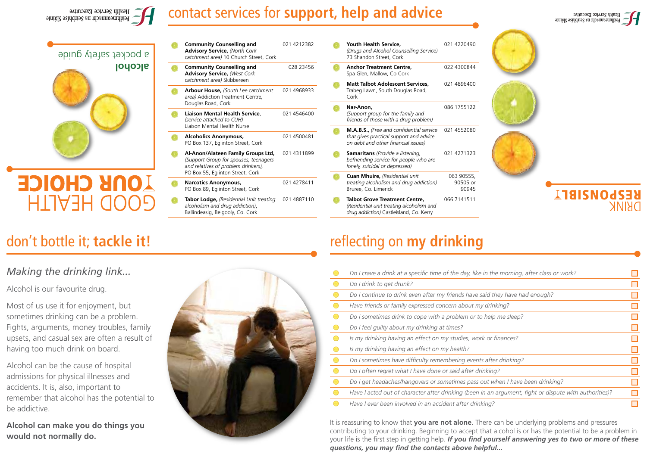

#### contact services for **support, help and advice**

021 4212382

028 23456

021 4968933

021 4546400

021 4500481

021 4311899

021 4278411

**alcohol**  a pocket safety guide

# **OUR CHOICE** HTA3H QOOE

- Liaison Mental Health Nurse **Alcoholics Anonymous,** PO Box 137, Eglinton Street, Cork **Al-Anon/Alateen Family Groups Ltd,** *(Support Group for spouses, teenagers and relatives of problem drinkers),* PO Box 55, Eglinton Street, Cork **Narcotics Anonymous,**  PO Box 89, Eglinton Street, Cork
	- **Tabor Lodge,** *(Residential Unit treating alcoholism and drug addiction)*, Ballindeasig, Belgooly, Co. Cork 021 4887110

**Community Counselling and Advisory Service,** *(North Cork catchment area)* 10 Church Street, Cork

**Community Counselling and Advisory Service,** *(West Cork catchment area)* Skibbereen

**Liaison Mental Health Service**, *(service attached to CUH)* 

Douglas Road, Cork

**Arbour House,** *(South Lee catchment area)* Addiction Treatment Centre*,* 

- **Youth Health Service,**  *(Drugs and Alcohol Counselling Service)*  73 Shandon Street, Cork 021 4220490 **Anchor Treatment Centre,** Spa Glen, Mallow, Co Cork 022 4300844 **Matt Talbot Adolescent Services,**
	- Trabeg Lawn, South Douglas Road, Cork 021 4896400
	- **Nar-Anon,** *(Support group for the family and friends of those with a drug problem)* 086 1755122
	- **M.A.B.S.,** *(Free and confidential service that gives practical support and advice on debt and other financial issues)* 021 4552080
	- **Samaritans** *(Provide a listening, befriending service for people who are lonely, suicidal or depressed)*  021 4271323
	- **Cuan Mhuire,** *(Residential unit treating alcoholism and drug addiction)* Bruree, Co. Limerick 063 90555, 90505 or 90945
	- **Talbot Grove Treatment Centre,** *(Residential unit treating alcoholism and drug addiction)* Castleisland, Co. Kerry 066 7141511







# **JT8ISNOdSEX**

#### *Making the drinking link...*

Alcohol is our favourite drug.

Most of us use it for enjoyment, but sometimes drinking can be a problem. Fights, arguments, money troubles, family upsets, and casual sex are often a result of having too much drink on board.

Alcohol can be the cause of hospital admissions for physical illnesses and accidents. It is, also, important to remember that alcohol has the potential to be addictive.

**Alcohol can make you do things you would not normally do.**



#### don't bottle it; **tackle it!** The same of the set of the reflecting on **my drinking**

*Do I crave a drink at a specific time of the day, like in the morning, after class or work?*  $\Box$ *Do I drink to get drunk?*  $\Box$  $\Box$ *Do I continue to drink even after my friends have said they have had enough? Have friends or family expressed concern about my drinking?*  $\Box$  $\blacksquare$ *Do I sometimes drink to cope with a problem or to help me sleep?*  $\Box$ *Do I feel guilty about my drinking at times?*  $\blacksquare$ *Is my drinking having an effect on my studies, work or finances?*  $\blacksquare$  $\bigcirc$ *Is my drinking having an effect on my health?*  $\bullet$  $\Box$ *Do I sometimes have difficulty remembering events after drinking?*  $\Box$  $\bullet$ *Do I often regret what I have done or said after drinking?*  $\blacksquare$  $\bullet$ *Do I get headaches/hangovers or sometimes pass out when I have been drinking?*   $\Box$  $\bullet$ *Have I acted out of character after drinking (been in an argument, fight or dispute with authorities)?*   $\bullet$ *Have I ever been involved in an accident after drinking?*  $\Box$ 

It is reassuring to know that **you are not alone**. There can be underlying problems and pressures contributing to your drinking. Beginning to accept that alcohol is or has the potential to be a problem in your life is the first step in getting help. *If you find yourself answering yes to two or more of these questions, you may find the contacts above helpful...*

Health Service Executive entimeaning or an actuality of a seminor